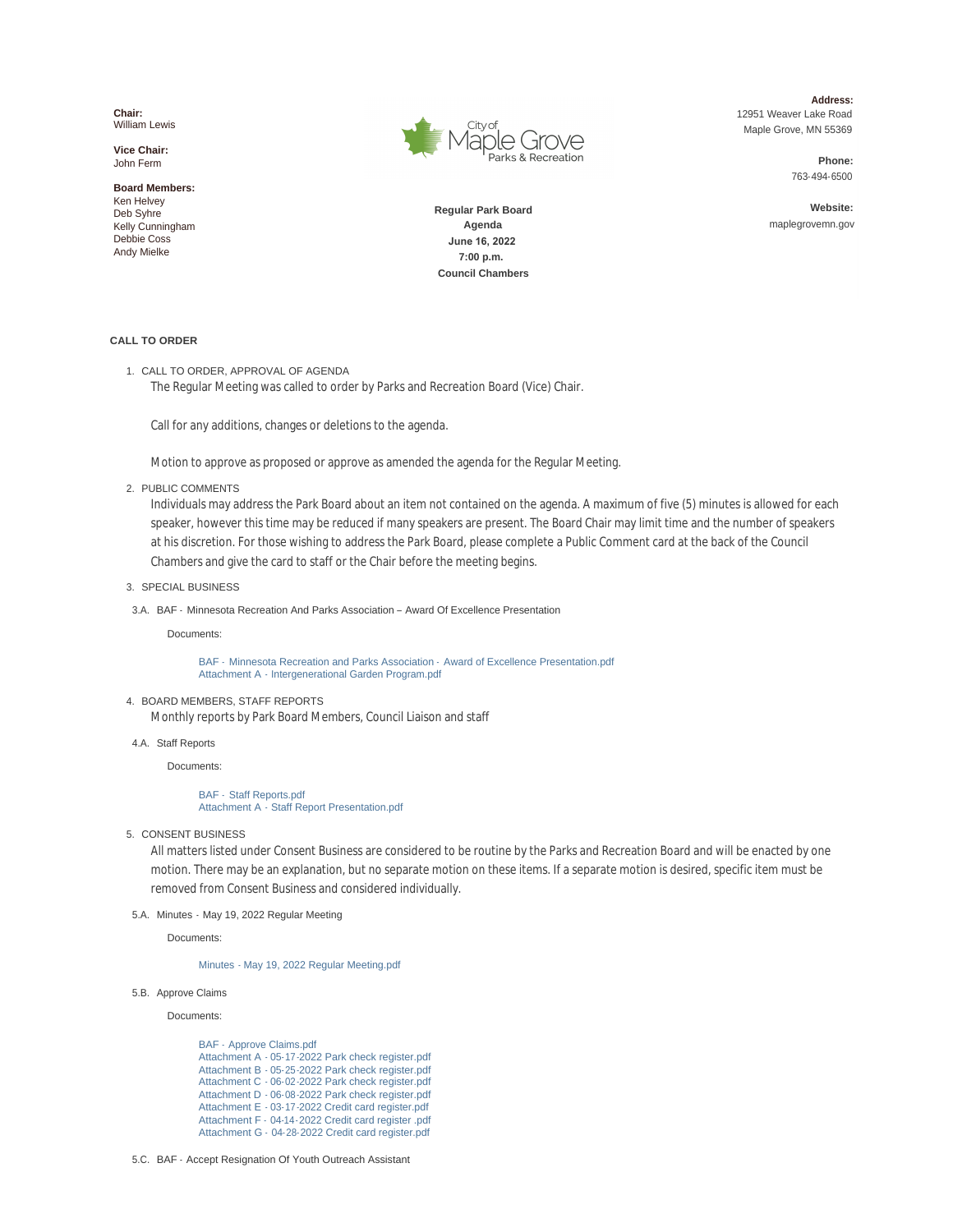**Chair:** William Lewis

**Vice Chair:** John Ferm

**Board Members:** Ken Helvey Deb Syhre Kelly Cunningham Debbie Coss Andy Mielke



**Address:** 12951 Weaver Lake Road Maple Grove, MN 55369

> **Phone:** 763-494- 6500

**Website:** maplegrovemn.gov

**Regular Park Board Agenda June 16, 2022 7:00 p.m. Council Chambers**

# **CALL TO ORDER**

1. CALL TO ORDER, APPROVAL OF AGENDA The Regular Meeting was called to order by Parks and Recreation Board (Vice) Chair.

Call for any additions, changes or deletions to the agenda.

Motion to approve as proposed or approve as amended the agenda for the Regular Meeting.

2. PUBLIC COMMENTS

Individuals may address the Park Board about an item not contained on the agenda. A maximum of five (5) minutes is allowed for each speaker, however this time may be reduced if many speakers are present. The Board Chair may limit time and the number of speakers at his discretion. For those wishing to address the Park Board, please complete a Public Comment card at the back of the Council Chambers and give the card to staff or the Chair before the meeting begins.

- 3. SPECIAL BUSINESS
- 3.A. BAF Minnesota Recreation And Parks Association Award Of Excellence Presentation

Documents:

BAF - [Minnesota Recreation and Parks Association -](https://www.maplegrovemn.gov/AgendaCenter/ViewFile/Item/2115?fileID=7506) Award of Excellence Presentation.pdf Attachment A - [Intergenerational Garden Program.pdf](https://www.maplegrovemn.gov/AgendaCenter/ViewFile/Item/2115?fileID=7507)

### BOARD MEMBERS, STAFF REPORTS 4.

Monthly reports by Park Board Members, Council Liaison and staff

### 4.A. Staff Reports

Documents:

## BAF - [Staff Reports.pdf](https://www.maplegrovemn.gov/AgendaCenter/ViewFile/Item/2167?fileID=7513) Attachment A - [Staff Report Presentation.pdf](https://www.maplegrovemn.gov/AgendaCenter/ViewFile/Item/2167?fileID=7514)

5. CONSENT BUSINESS

All matters listed under Consent Business are considered to be routine by the Parks and Recreation Board and will be enacted by one motion. There may be an explanation, but no separate motion on these items. If a separate motion is desired, specific item must be removed from Consent Business and considered individually.

5.A. Minutes - May 19, 2022 Regular Meeting

Documents:

[Minutes - May 19, 2022 Regular Meeting.pdf](https://www.maplegrovemn.gov/AgendaCenter/ViewFile/Item/2107?fileID=7367)

5.B. Approve Claims

Documents:

[BAF - Approve Claims.pdf](https://www.maplegrovemn.gov/AgendaCenter/ViewFile/Item/2106?fileID=7359) Attachment A - 05-[17-2022 Park check register.pdf](https://www.maplegrovemn.gov/AgendaCenter/ViewFile/Item/2106?fileID=7360) Attachment B - 05- [25-2022 Park check register.pdf](https://www.maplegrovemn.gov/AgendaCenter/ViewFile/Item/2106?fileID=7361) Attachment C - 06-[02-2022 Park check register.pdf](https://www.maplegrovemn.gov/AgendaCenter/ViewFile/Item/2106?fileID=7362) Attachment D - 06- [08-2022 Park check register.pdf](https://www.maplegrovemn.gov/AgendaCenter/ViewFile/Item/2106?fileID=7363) Attachment E - 03- [17-2022 Credit card register.pdf](https://www.maplegrovemn.gov/AgendaCenter/ViewFile/Item/2106?fileID=7364) [Attachment F - 04-14-2022 Credit card register .pdf](https://www.maplegrovemn.gov/AgendaCenter/ViewFile/Item/2106?fileID=7365) Attachment G - 04- [28-2022 Credit card register.pdf](https://www.maplegrovemn.gov/AgendaCenter/ViewFile/Item/2106?fileID=7366)

5.C. BAF - Accept Resignation Of Youth Outreach Assistant